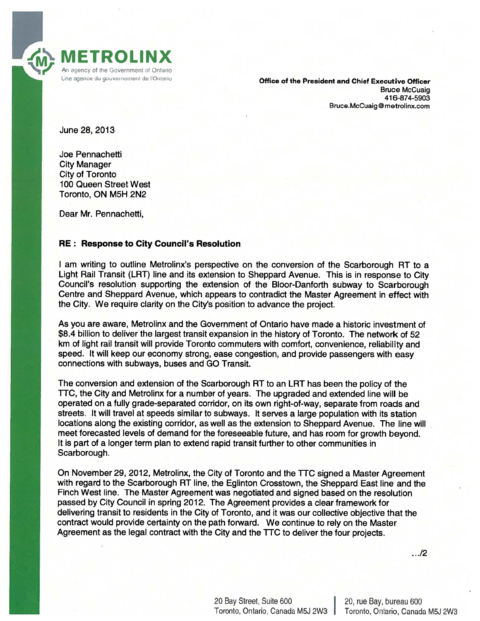

Une agence du gouvernement de l'Ontario **Chief Executive Office of the President and Chief Executive Officer** Bruce McCuaig 416-874-5903 Bruce.McCuaig@metrolinx.com

June 28, 2013

Joe Pennachetti City Manager City of Toronto 100 Queen Street West Toronto, ON M5H 2N2

Dear Mr. Pennachetti,

## RE: Response to City Council's Resolution

<sup>I</sup> am writing to outline Metrolinx's perspective on the conversion of the Scarborough RT to <sup>a</sup> Light Rail Transit (LRT) line and its extension to Sheppard Avenue. This is in response to City Council's resolution supporting the extension of the Bloor-Danforth subway to Scarborough Centre and Sheppard Avenue, which appears to contradict the Master Agreement in effect with the City. We require clarity on the City's position to advance the project.

As you are aware, Metrolinx and the Government of Ontario have made <sup>a</sup> historic investment of \$8.4 billion to deliver the largest transit expansion in the history of Toronto. The network of 52 km of light rail transit will provide Toronto commuters with comfort, convenience, reliability and speed. It will keep our economy strong, ease congestion, and provide passengers with easy connections with subways, buses and GO Transit.

The conversion and extension of the Scarborough RT to an LRT has been the policy of the TTC, the City and Metrolinx for <sup>a</sup> number of years. The upgraded and extended line will be operated on <sup>a</sup> fully grade-separated corridor, on its own right-of-way, separate from roads and streets. It will travel at speeds similar to subways. It serves <sup>a</sup> large population with its station locations along the existing corridor, as well as the extension to Sheppard Avenue. The line will meet forecasted levels of demand for the foreseeable future, and has room for growth beyond. It is par<sup>t</sup> of <sup>a</sup> longer term plan to extend rapid transit further to other communities in Scarborough.

On November 29, 2012, Metrolinx, the City of Toronto and the TTC signed <sup>a</sup> Master Agreement with regard to the Scarborough RT line, the Eglinton Crosstown, the Sheppard East line and the Finch West line. The Master Agreement was negotiated and signed based on the resolution passed by City Council in spring 2012. The Agreement provides <sup>a</sup> clear framework for delivering transit to residents in the City of Toronto, and it was our collective objective that the contract would provide certainty on the path forward. We continue to rely on the Master Agreement as the legal contract with the City and the TTC to deliver the four projects.

.12

20 Bay Street, Suite 600 20, rue Bay, bureau 600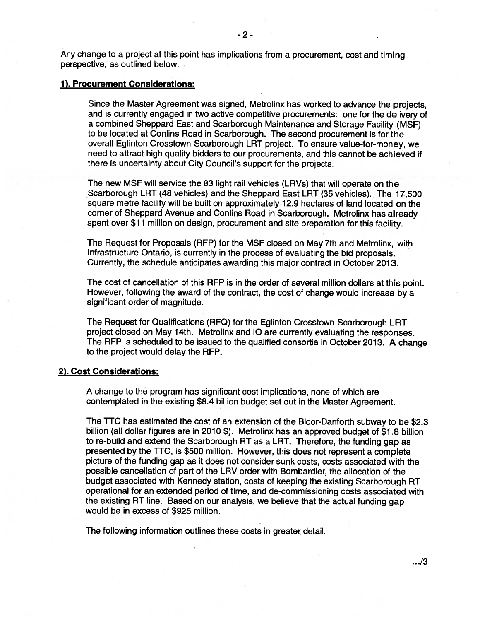Any change to <sup>a</sup> project at this point has implications from <sup>a</sup> procurement, cost and timing perspective, as outlined below:

## 1). Procurement Considerations:

Since the Master Agreement was signed, Metrolinx has worked to advance the projects, and is currently engage<sup>d</sup> in two active competitive procurements: one for the delivery of <sup>a</sup> combined Sheppard East and Scarborough Maintenance and Storage Facility (MSF) to be located at Conlins Road in Scarborough. The second procuremen<sup>t</sup> is for the overall Eglinton Crosstown-Scarborough LRT project. To ensure value-for-money, we need to attract high quality bidders to our procurements, and this cannot be achieved if there is uncertainty about City Council's suppor<sup>t</sup> for the projects.

The new MSF will service the 83 light rail vehicles (LRV5) that will operate on the Scarborough LRT (48 vehicles) and the Sheppard East LRT (35 vehicles). The 17,500 square metre facility will be built on approximately 12.9 hectares of land located on the corner of Sheppard Avenue and Conlins Road in Scarborough. Metrolinx has already spent over \$11 million on design, procurement and site preparation for this facility.

The Request for Proposals (RFP) for the MSF closed on May 7th and Metrolinx, with Infrastructure Ontario, is currently in the process of evaluating the bid proposals. Currently, the schedule anticipates awarding this major contract in October 2013.

The cost of cancellation of this RFP is in the order of several million dollars at this point. However, following the award of the contract, the cost of change would increase by <sup>a</sup> significant order of magnitude.

The Request for Qualifications (RFQ) for the Eglinton Crosstown-Scarborough LRT project closed on May 14th. Metrolinx and <sup>10</sup> are currently evaluating the responses. The RFP is scheduled to be issued to the qualified consortia in October 2013. <sup>A</sup> change to the project would delay the RFP.

## 2). Cost Considerations:

A change to the program has significant cost implications, none of which are contemplated in the existing \$8.4 billion budget set out in the Master Agreement.

The TTC has estimated the cost of an extension of the Bloor-Danforth subway to be \$2.3 billion (all dollar figures are in <sup>2010</sup> \$). Metrolinx has an approve<sup>d</sup> budget of \$1.8 billion to re-build and extend the Scarborough RT as <sup>a</sup> LRT. Therefore, the funding gap as presented by the TTC, is \$500 million. However, this does not represen<sup>t</sup> <sup>a</sup> complete picture of the funding gap as it does not consider sunk costs, costs associated with the possible cancellation of par<sup>t</sup> of the LRV order with Bombardier, the allocation of the budget associated with Kennedy station, costs of keeping the existing Scarborough RT operational for an extended period of time, and de-commissioning costs associated with the existing RT line. Based on our analysis, we believe that the actual funding gap would be in excess of \$925 million.

The following information outlines these costs in greater detail.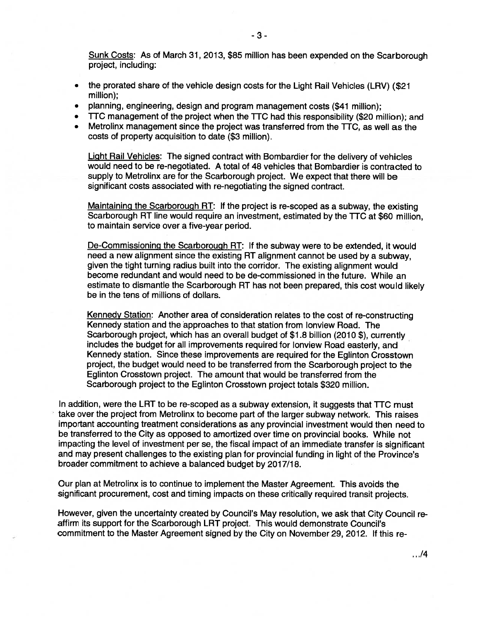Sunk Costs: As of March 31, 2013, \$85 million has been expended on the Scarborough project, including:

- • the prorated share of the vehicle design costs for the Light Rail Vehicles (LRV) (\$21 million);
- planning, engineering, design and program managemen<sup>t</sup> costs (\$41 million);
- TTC managemen<sup>t</sup> of the project when the TTC had this responsibility (\$20 million); and
- Metrolinx managemen<sup>t</sup> since the project was transferred from the TTC, as well as the costs of property acquisition to date (\$3 million).

Light Rail Vehicles: The signed contract with Bombardier for the delivery of vehicles would need to be re-negotiated. A total of 48 vehicles that Bombardier is contracted to supply to Metrolinx are for the Scarborough project. We expec<sup>t</sup> that there will be significant costs associated with re-negotiating the signed contract.

Maintaining the Scarborough RT: If the project is re-scope<sup>d</sup> as <sup>a</sup> subway, the existing Scarborough RT line would require an investment, estimated by the TTC at \$60 million, to maintain service over <sup>a</sup> five-year period.

De-Commissioning the Scarborough RT: If the subway were to be extended, it would need <sup>a</sup> new alignment since the existing RT alignment cannot be used by <sup>a</sup> subway, given the tight turning radius built into the corridor. The existing alignment would become redundant and would need to be de-commissioned in the future. While an estimate to dismantle the Scarborough RT has not been prepared, this cost would likely be in the tens of millions of dollars.

Kennedy Station: Another area of consideration relates to the cost of re-constructing Kennedy station and the approaches to that station from lonview Road. The<br>Scarborough project, which has an overall budget of \$1.8 billion (2010 \$), currently includes the budget for all improvements required for lonview Road easterly, and Kennedy station. Since these improvements are required for the Eglinton Crosstown project, the budget would need to be transferred from the Scarborough project to the Eglinton Crosstown project. The amount that would be transferred from the Scarborough project to the Eglinton Crosstown project totals \$320 million.

In addition, were the LRT to be re-scoped as <sup>a</sup> subway extension, it suggests that TTC must take over the project from Metrolinx to become par<sup>t</sup> of the larger subway network. This raises important accounting treatment considerations as any provincial investment would then need to be transferred to the City as opposed to amortized over time on provincial books. While not impacting the level of investment per se, the fiscal impact of an immediate transfer is significant and may presen<sup>t</sup> challenges to the existing <sup>p</sup>lan for provincial funding in light of the Province's broader commitment to achieve <sup>a</sup> balanced budget by 2017/18.

Our <sup>p</sup>lan at Metrolinx is to continue to implement the Master Agreement. This avoids the significant procurement, cost and timing impacts on these critically required transit projects.

However, <sup>g</sup>iven the uncertainty created by Council's May resolution, we ask that City Council re affirm its suppor<sup>t</sup> for the Scarborough LRT project. This would demonstrate Council's commitment to the Master Agreement signed by the City on November 29, 2012. If this re